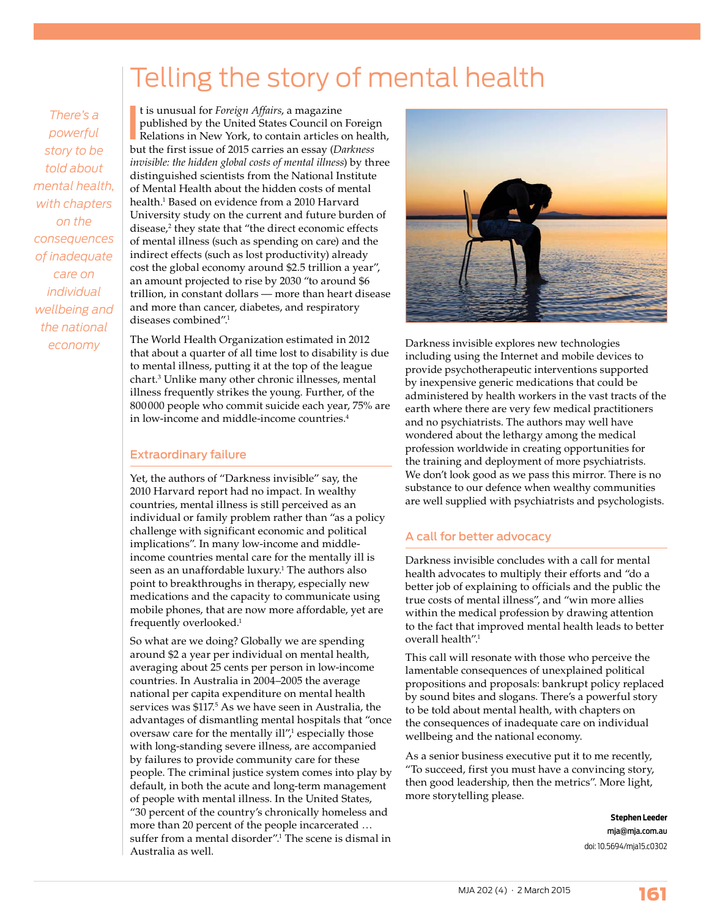## Telling the story of mental health

*There's a powerful story to be told about mental health, with chapters on the consequences of inadequate care on individual wellbeing and the national economy*

It is unusual for *Foreign Affairs*, a magazine<br>published by the United States Council on Foreig<br>Relations in New York, to contain articles on heal<br>but the first issue of 2015 carries an essay (*Darkness* t is unusual for *Foreign Affairs*, a magazine published by the United States Council on Foreign Relations in New York, to contain articles on health, *invisible: the hidden global costs of mental illness*) by three distinguished scientists from the National Institute of Mental Health about the hidden costs of mental health.1 Based on evidence from a 2010 Harvard University study on the current and future burden of disease,<sup>2</sup> they state that "the direct economic effects of mental illness (such as spending on care) and the indirect effects (such as lost productivity) already cost the global economy around \$2.5 trillion a year", an amount projected to rise by 2030 "to around \$6 trillion, in constant dollars — more than heart disease and more than cancer, diabetes, and respiratory diseases combined".1

The World Health Organization estimated in 2012 that about a quarter of all time lost to disability is due to mental illness, putting it at the top of the league chart.3 Unlike many other chronic illnesses, mental illness frequently strikes the young. Further, of the 800 000 people who commit suicide each year, 75% are in low-income and middle-income countries.<sup>4</sup>

## Extraordinary failure

Yet, the authors of "Darkness invisible" say, the 2010 Harvard report had no impact. In wealthy countries, mental illness is still perceived as an individual or family problem rather than "as a policy challenge with significant economic and political implications". In many low-income and middleincome countries mental care for the mentally ill is seen as an unaffordable luxury.1 The authors also point to breakthroughs in therapy, especially new medications and the capacity to communicate using mobile phones, that are now more affordable, yet are frequently overlooked.1

So what are we doing? Globally we are spending around \$2 a year per individual on mental health, averaging about 25 cents per person in low-income countries. In Australia in 2004–2005 the average national per capita expenditure on mental health services was \$117.<sup>5</sup> As we have seen in Australia, the advantages of dismantling mental hospitals that "once oversaw care for the mentally  $\mathrm{ill}^{\prime\prime,1}_\prime$  especially those with long-standing severe illness, are accompanied by failures to provide community care for these people. The criminal justice system comes into play by default, in both the acute and long-term management of people with mental illness. In the United States, "30 percent of the country's chronically homeless and more than 20 percent of the people incarcerated … suffer from a mental disorder".1 The scene is dismal in Australia as well.



Darkness invisible explores new technologies including using the Internet and mobile devices to provide psychotherapeutic interventions supported by inexpensive generic medications that could be administered by health workers in the vast tracts of the earth where there are very few medical practitioners and no psychiatrists. The authors may well have wondered about the lethargy among the medical profession worldwide in creating opportunities for the training and deployment of more psychiatrists. We don't look good as we pass this mirror. There is no substance to our defence when wealthy communities are well supplied with psychiatrists and psychologists.

## A call for better advocacy

 Darkness invisible concludes with a call for mental health advocates to multiply their efforts and "do a better job of explaining to officials and the public the true costs of mental illness", and "win more allies within the medical profession by drawing attention to the fact that improved mental health leads to better overall health".1

This call will resonate with those who perceive the lamentable consequences of unexplained political propositions and proposals: bankrupt policy replaced by sound bites and slogans. There's a powerful story to be told about mental health, with chapters on the consequences of inadequate care on individual wellbeing and the national economy.

As a senior business executive put it to me recently, "To succeed, first you must have a convincing story, then good leadership, then the metrics". More light, more storytelling please.

> **Stephen Leeder** mja@mja.com.au doi: 10.5694/mja15.c0302